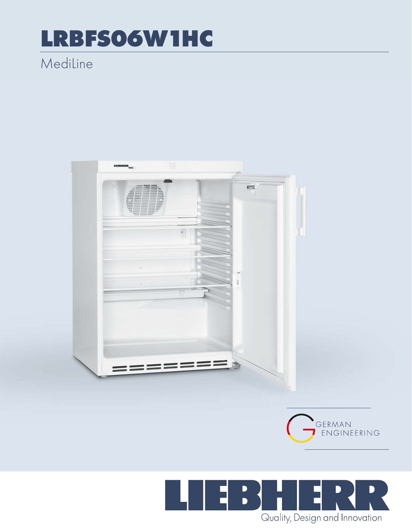## LRBFS06W1HC

### Mediline